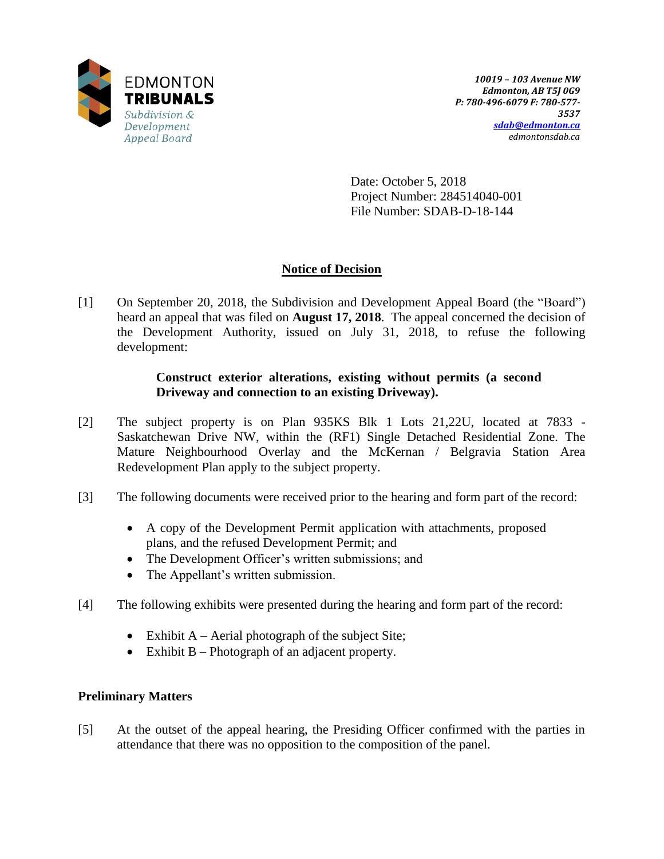

Date: October 5, 2018 Project Number: 284514040-001 File Number: SDAB-D-18-144

# **Notice of Decision**

[1] On September 20, 2018, the Subdivision and Development Appeal Board (the "Board") heard an appeal that was filed on **August 17, 2018**. The appeal concerned the decision of the Development Authority, issued on July 31, 2018, to refuse the following development:

# **Construct exterior alterations, existing without permits (a second Driveway and connection to an existing Driveway).**

- [2] The subject property is on Plan 935KS Blk 1 Lots 21,22U, located at 7833 Saskatchewan Drive NW, within the (RF1) Single Detached Residential Zone. The Mature Neighbourhood Overlay and the McKernan / Belgravia Station Area Redevelopment Plan apply to the subject property.
- [3] The following documents were received prior to the hearing and form part of the record:
	- A copy of the Development Permit application with attachments, proposed plans, and the refused Development Permit; and
	- The Development Officer's written submissions; and
	- The Appellant's written submission.
- [4] The following exhibits were presented during the hearing and form part of the record:
	- Exhibit  $A A$ erial photograph of the subject Site;
	- $\bullet$  Exhibit B Photograph of an adjacent property.

# **Preliminary Matters**

[5] At the outset of the appeal hearing, the Presiding Officer confirmed with the parties in attendance that there was no opposition to the composition of the panel.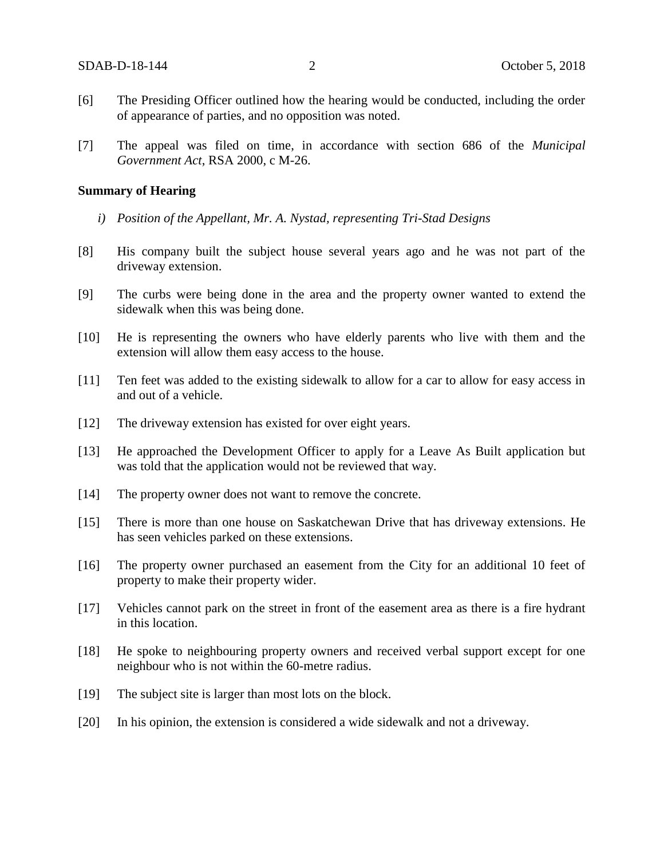- [6] The Presiding Officer outlined how the hearing would be conducted, including the order of appearance of parties, and no opposition was noted.
- [7] The appeal was filed on time, in accordance with section 686 of the *Municipal Government Act*, RSA 2000, c M-26.

#### **Summary of Hearing**

- *i) Position of the Appellant, Mr. A. Nystad, representing Tri-Stad Designs*
- [8] His company built the subject house several years ago and he was not part of the driveway extension.
- [9] The curbs were being done in the area and the property owner wanted to extend the sidewalk when this was being done.
- [10] He is representing the owners who have elderly parents who live with them and the extension will allow them easy access to the house.
- [11] Ten feet was added to the existing sidewalk to allow for a car to allow for easy access in and out of a vehicle.
- [12] The driveway extension has existed for over eight years.
- [13] He approached the Development Officer to apply for a Leave As Built application but was told that the application would not be reviewed that way.
- [14] The property owner does not want to remove the concrete.
- [15] There is more than one house on Saskatchewan Drive that has driveway extensions. He has seen vehicles parked on these extensions.
- [16] The property owner purchased an easement from the City for an additional 10 feet of property to make their property wider.
- [17] Vehicles cannot park on the street in front of the easement area as there is a fire hydrant in this location.
- [18] He spoke to neighbouring property owners and received verbal support except for one neighbour who is not within the 60-metre radius.
- [19] The subject site is larger than most lots on the block.
- [20] In his opinion, the extension is considered a wide sidewalk and not a driveway.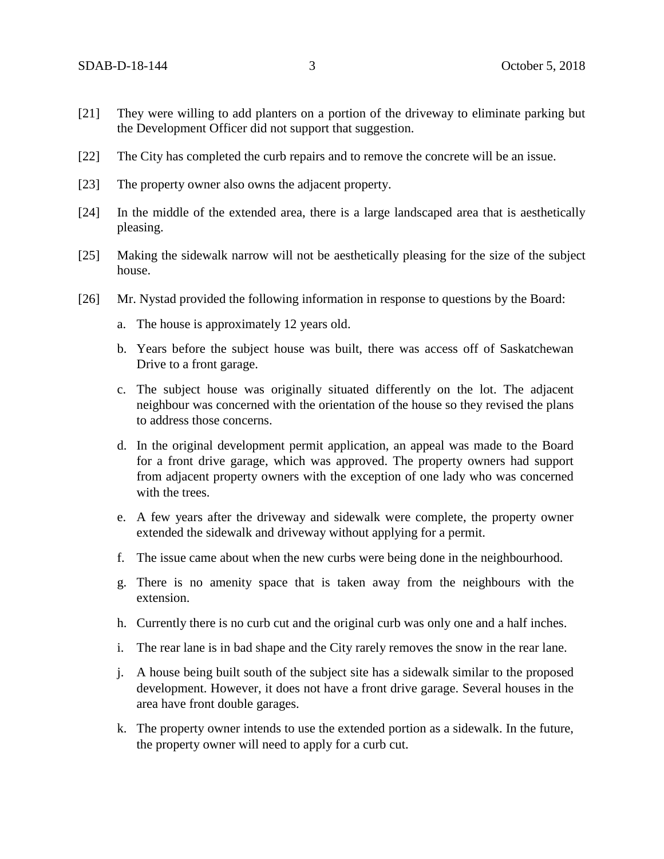- [21] They were willing to add planters on a portion of the driveway to eliminate parking but the Development Officer did not support that suggestion.
- [22] The City has completed the curb repairs and to remove the concrete will be an issue.
- [23] The property owner also owns the adjacent property.
- [24] In the middle of the extended area, there is a large landscaped area that is aesthetically pleasing.
- [25] Making the sidewalk narrow will not be aesthetically pleasing for the size of the subject house.
- [26] Mr. Nystad provided the following information in response to questions by the Board:
	- a. The house is approximately 12 years old.
	- b. Years before the subject house was built, there was access off of Saskatchewan Drive to a front garage.
	- c. The subject house was originally situated differently on the lot. The adjacent neighbour was concerned with the orientation of the house so they revised the plans to address those concerns.
	- d. In the original development permit application, an appeal was made to the Board for a front drive garage, which was approved. The property owners had support from adjacent property owners with the exception of one lady who was concerned with the trees.
	- e. A few years after the driveway and sidewalk were complete, the property owner extended the sidewalk and driveway without applying for a permit.
	- f. The issue came about when the new curbs were being done in the neighbourhood.
	- g. There is no amenity space that is taken away from the neighbours with the extension.
	- h. Currently there is no curb cut and the original curb was only one and a half inches.
	- i. The rear lane is in bad shape and the City rarely removes the snow in the rear lane.
	- j. A house being built south of the subject site has a sidewalk similar to the proposed development. However, it does not have a front drive garage. Several houses in the area have front double garages.
	- k. The property owner intends to use the extended portion as a sidewalk. In the future, the property owner will need to apply for a curb cut.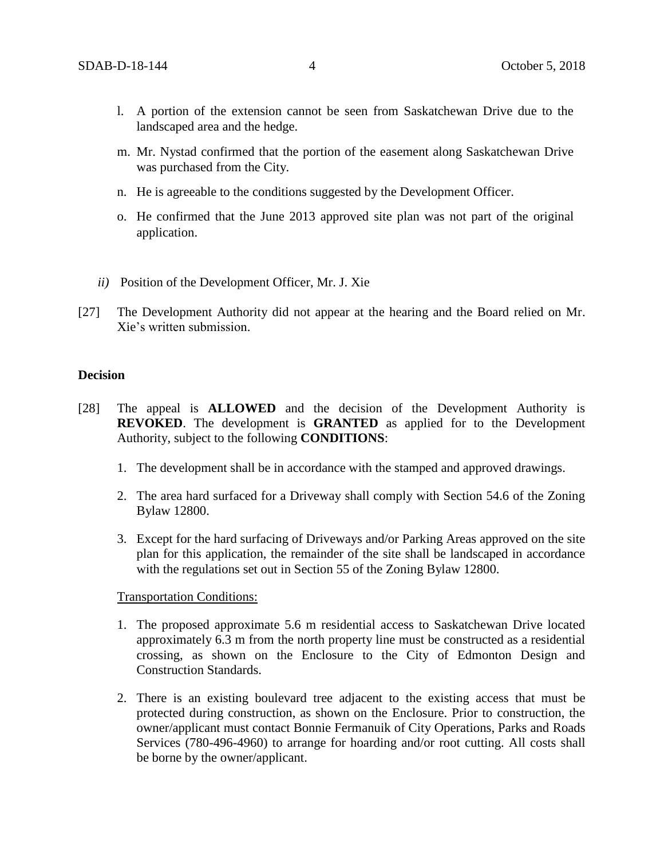- l. A portion of the extension cannot be seen from Saskatchewan Drive due to the landscaped area and the hedge.
- m. Mr. Nystad confirmed that the portion of the easement along Saskatchewan Drive was purchased from the City.
- n. He is agreeable to the conditions suggested by the Development Officer.
- o. He confirmed that the June 2013 approved site plan was not part of the original application.
- *ii)* Position of the Development Officer, Mr. J. Xie
- [27] The Development Authority did not appear at the hearing and the Board relied on Mr. Xie's written submission.

### **Decision**

- [28] The appeal is **ALLOWED** and the decision of the Development Authority is **REVOKED**. The development is **GRANTED** as applied for to the Development Authority, subject to the following **CONDITIONS**:
	- 1. The development shall be in accordance with the stamped and approved drawings.
	- 2. The area hard surfaced for a Driveway shall comply with Section 54.6 of the Zoning Bylaw 12800.
	- 3. Except for the hard surfacing of Driveways and/or Parking Areas approved on the site plan for this application, the remainder of the site shall be landscaped in accordance with the regulations set out in Section 55 of the Zoning Bylaw 12800.

### Transportation Conditions:

- 1. The proposed approximate 5.6 m residential access to Saskatchewan Drive located approximately 6.3 m from the north property line must be constructed as a residential crossing, as shown on the Enclosure to the City of Edmonton Design and Construction Standards.
- 2. There is an existing boulevard tree adjacent to the existing access that must be protected during construction, as shown on the Enclosure. Prior to construction, the owner/applicant must contact Bonnie Fermanuik of City Operations, Parks and Roads Services (780-496-4960) to arrange for hoarding and/or root cutting. All costs shall be borne by the owner/applicant.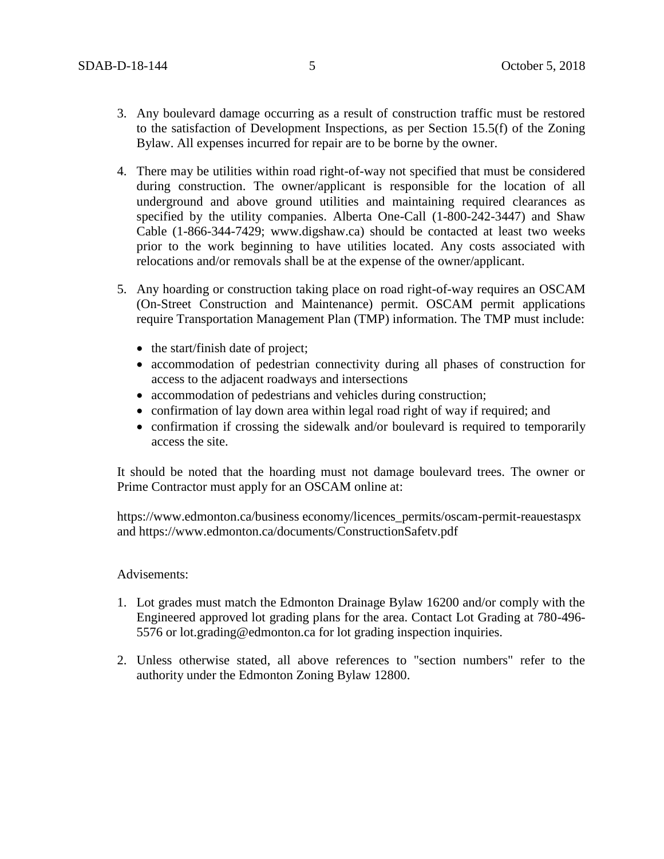- 3. Any boulevard damage occurring as a result of construction traffic must be restored to the satisfaction of Development Inspections, as per Section 15.5(f) of the Zoning Bylaw. All expenses incurred for repair are to be borne by the owner.
- 4. There may be utilities within road right-of-way not specified that must be considered during construction. The owner/applicant is responsible for the location of all underground and above ground utilities and maintaining required clearances as specified by the utility companies. Alberta One-Call (1-800-242-3447) and Shaw Cable (1-866-344-7429; www.digshaw.ca) should be contacted at least two weeks prior to the work beginning to have utilities located. Any costs associated with relocations and/or removals shall be at the expense of the owner/applicant.
- 5. Any hoarding or construction taking place on road right-of-way requires an OSCAM (On-Street Construction and Maintenance) permit. OSCAM permit applications require Transportation Management Plan (TMP) information. The TMP must include:
	- the start/finish date of project;
	- accommodation of pedestrian connectivity during all phases of construction for access to the adjacent roadways and intersections
	- accommodation of pedestrians and vehicles during construction;
	- confirmation of lay down area within legal road right of way if required; and
	- confirmation if crossing the sidewalk and/or boulevard is required to temporarily access the site.

It should be noted that the hoarding must not damage boulevard trees. The owner or Prime Contractor must apply for an OSCAM online at:

https://www.edmonton.ca/business economy/licences\_permits/oscam-permit-reauestaspx and https://www.edmonton.ca/documents/ConstructionSafetv.pdf

### Advisements:

- 1. Lot grades must match the Edmonton Drainage Bylaw 16200 and/or comply with the Engineered approved lot grading plans for the area. Contact Lot Grading at 780-496- 5576 or lot.grading@edmonton.ca for lot grading inspection inquiries.
- 2. Unless otherwise stated, all above references to "section numbers" refer to the authority under the Edmonton Zoning Bylaw 12800.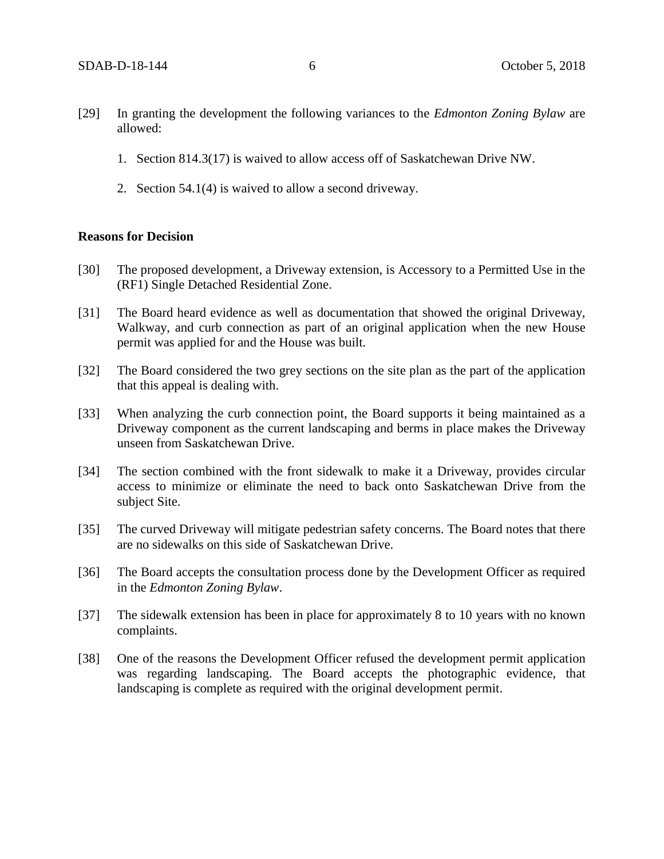- [29] In granting the development the following variances to the *Edmonton Zoning Bylaw* are allowed:
	- 1. Section 814.3(17) is waived to allow access off of Saskatchewan Drive NW.
	- 2. Section 54.1(4) is waived to allow a second driveway.

#### **Reasons for Decision**

- [30] The proposed development, a Driveway extension, is Accessory to a Permitted Use in the (RF1) Single Detached Residential Zone.
- [31] The Board heard evidence as well as documentation that showed the original Driveway, Walkway, and curb connection as part of an original application when the new House permit was applied for and the House was built.
- [32] The Board considered the two grey sections on the site plan as the part of the application that this appeal is dealing with.
- [33] When analyzing the curb connection point, the Board supports it being maintained as a Driveway component as the current landscaping and berms in place makes the Driveway unseen from Saskatchewan Drive.
- [34] The section combined with the front sidewalk to make it a Driveway, provides circular access to minimize or eliminate the need to back onto Saskatchewan Drive from the subject Site.
- [35] The curved Driveway will mitigate pedestrian safety concerns. The Board notes that there are no sidewalks on this side of Saskatchewan Drive.
- [36] The Board accepts the consultation process done by the Development Officer as required in the *Edmonton Zoning Bylaw*.
- [37] The sidewalk extension has been in place for approximately 8 to 10 years with no known complaints.
- [38] One of the reasons the Development Officer refused the development permit application was regarding landscaping. The Board accepts the photographic evidence, that landscaping is complete as required with the original development permit.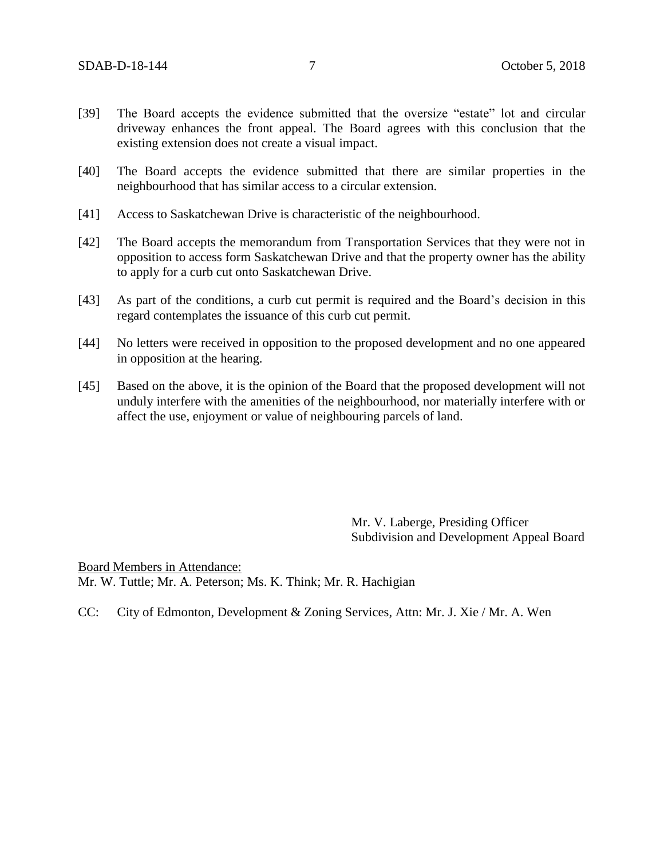- [39] The Board accepts the evidence submitted that the oversize "estate" lot and circular driveway enhances the front appeal. The Board agrees with this conclusion that the existing extension does not create a visual impact.
- [40] The Board accepts the evidence submitted that there are similar properties in the neighbourhood that has similar access to a circular extension.
- [41] Access to Saskatchewan Drive is characteristic of the neighbourhood.
- [42] The Board accepts the memorandum from Transportation Services that they were not in opposition to access form Saskatchewan Drive and that the property owner has the ability to apply for a curb cut onto Saskatchewan Drive.
- [43] As part of the conditions, a curb cut permit is required and the Board's decision in this regard contemplates the issuance of this curb cut permit.
- [44] No letters were received in opposition to the proposed development and no one appeared in opposition at the hearing.
- [45] Based on the above, it is the opinion of the Board that the proposed development will not unduly interfere with the amenities of the neighbourhood, nor materially interfere with or affect the use, enjoyment or value of neighbouring parcels of land.

Mr. V. Laberge, Presiding Officer Subdivision and Development Appeal Board

Board Members in Attendance: Mr. W. Tuttle; Mr. A. Peterson; Ms. K. Think; Mr. R. Hachigian

CC: City of Edmonton, Development & Zoning Services, Attn: Mr. J. Xie / Mr. A. Wen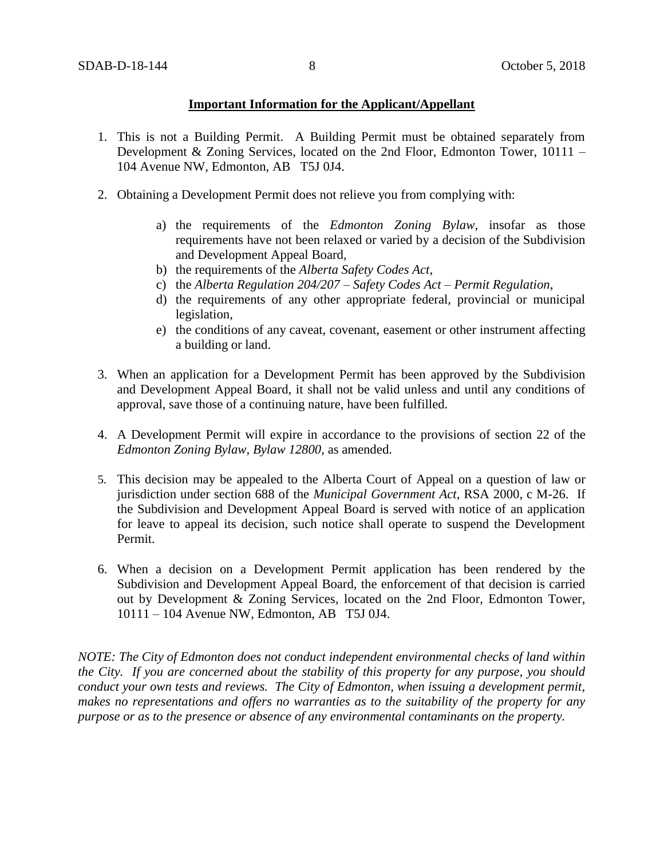## **Important Information for the Applicant/Appellant**

- 1. This is not a Building Permit. A Building Permit must be obtained separately from Development & Zoning Services, located on the 2nd Floor, Edmonton Tower, 10111 – 104 Avenue NW, Edmonton, AB T5J 0J4.
- 2. Obtaining a Development Permit does not relieve you from complying with:
	- a) the requirements of the *Edmonton Zoning Bylaw*, insofar as those requirements have not been relaxed or varied by a decision of the Subdivision and Development Appeal Board,
	- b) the requirements of the *Alberta Safety Codes Act*,
	- c) the *Alberta Regulation 204/207 – Safety Codes Act – Permit Regulation*,
	- d) the requirements of any other appropriate federal, provincial or municipal legislation,
	- e) the conditions of any caveat, covenant, easement or other instrument affecting a building or land.
- 3. When an application for a Development Permit has been approved by the Subdivision and Development Appeal Board, it shall not be valid unless and until any conditions of approval, save those of a continuing nature, have been fulfilled.
- 4. A Development Permit will expire in accordance to the provisions of section 22 of the *Edmonton Zoning Bylaw, Bylaw 12800*, as amended.
- 5. This decision may be appealed to the Alberta Court of Appeal on a question of law or jurisdiction under section 688 of the *Municipal Government Act*, RSA 2000, c M-26. If the Subdivision and Development Appeal Board is served with notice of an application for leave to appeal its decision, such notice shall operate to suspend the Development Permit.
- 6. When a decision on a Development Permit application has been rendered by the Subdivision and Development Appeal Board, the enforcement of that decision is carried out by Development & Zoning Services, located on the 2nd Floor, Edmonton Tower, 10111 – 104 Avenue NW, Edmonton, AB T5J 0J4.

*NOTE: The City of Edmonton does not conduct independent environmental checks of land within the City. If you are concerned about the stability of this property for any purpose, you should conduct your own tests and reviews. The City of Edmonton, when issuing a development permit, makes no representations and offers no warranties as to the suitability of the property for any purpose or as to the presence or absence of any environmental contaminants on the property.*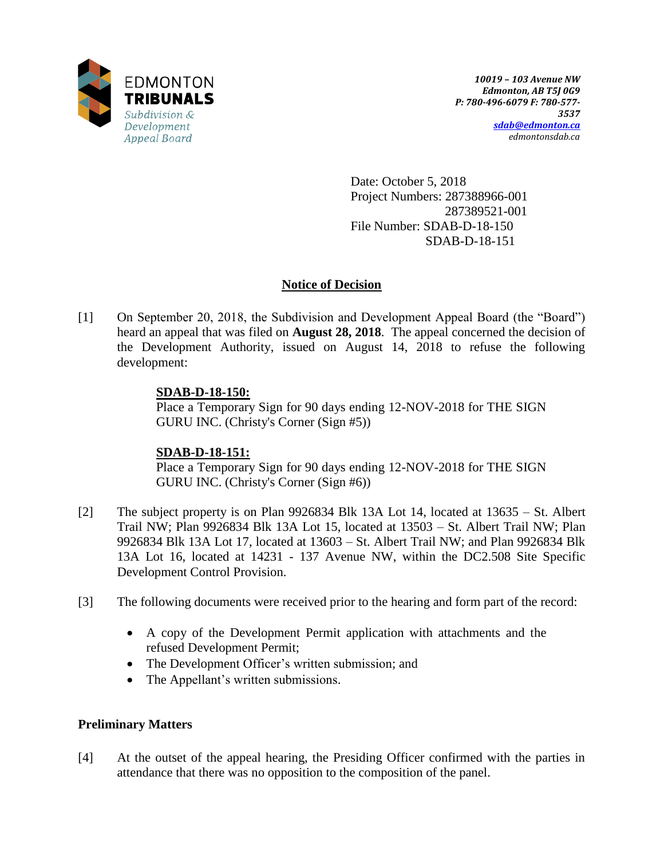

Date: October 5, 2018 Project Numbers: 287388966-001 287389521-001 File Number: SDAB-D-18-150 SDAB-D-18-151

# **Notice of Decision**

[1] On September 20, 2018, the Subdivision and Development Appeal Board (the "Board") heard an appeal that was filed on **August 28, 2018**. The appeal concerned the decision of the Development Authority, issued on August 14, 2018 to refuse the following development:

## **SDAB-D-18-150:**

Place a Temporary Sign for 90 days ending 12-NOV-2018 for THE SIGN GURU INC. (Christy's Corner (Sign #5))

## **SDAB-D-18-151:**

Place a Temporary Sign for 90 days ending 12-NOV-2018 for THE SIGN GURU INC. (Christy's Corner (Sign #6))

- [2] The subject property is on Plan 9926834 Blk 13A Lot 14, located at 13635 St. Albert Trail NW; Plan 9926834 Blk 13A Lot 15, located at 13503 – St. Albert Trail NW; Plan 9926834 Blk 13A Lot 17, located at 13603 – St. Albert Trail NW; and Plan 9926834 Blk 13A Lot 16, located at 14231 - 137 Avenue NW, within the DC2.508 Site Specific Development Control Provision.
- [3] The following documents were received prior to the hearing and form part of the record:
	- A copy of the Development Permit application with attachments and the refused Development Permit;
	- The Development Officer's written submission; and
	- The Appellant's written submissions.

# **Preliminary Matters**

[4] At the outset of the appeal hearing, the Presiding Officer confirmed with the parties in attendance that there was no opposition to the composition of the panel.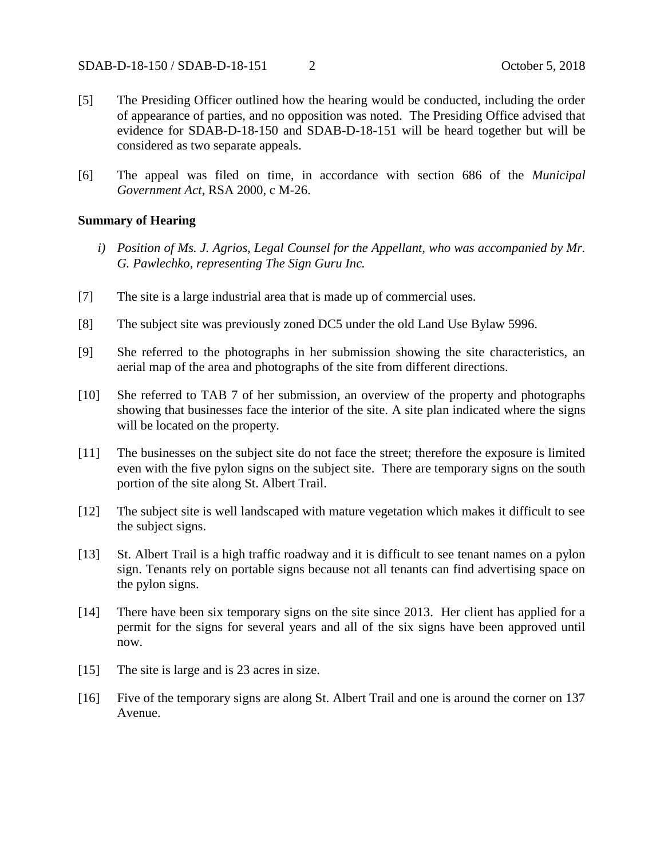- [5] The Presiding Officer outlined how the hearing would be conducted, including the order of appearance of parties, and no opposition was noted. The Presiding Office advised that evidence for SDAB-D-18-150 and SDAB-D-18-151 will be heard together but will be considered as two separate appeals.
- [6] The appeal was filed on time, in accordance with section 686 of the *Municipal Government Act*, RSA 2000, c M-26.

### **Summary of Hearing**

- *i) Position of Ms. J. Agrios, Legal Counsel for the Appellant, who was accompanied by Mr. G. Pawlechko, representing The Sign Guru Inc.*
- [7] The site is a large industrial area that is made up of commercial uses.
- [8] The subject site was previously zoned DC5 under the old Land Use Bylaw 5996.
- [9] She referred to the photographs in her submission showing the site characteristics, an aerial map of the area and photographs of the site from different directions.
- [10] She referred to TAB 7 of her submission, an overview of the property and photographs showing that businesses face the interior of the site. A site plan indicated where the signs will be located on the property.
- [11] The businesses on the subject site do not face the street; therefore the exposure is limited even with the five pylon signs on the subject site. There are temporary signs on the south portion of the site along St. Albert Trail.
- [12] The subject site is well landscaped with mature vegetation which makes it difficult to see the subject signs.
- [13] St. Albert Trail is a high traffic roadway and it is difficult to see tenant names on a pylon sign. Tenants rely on portable signs because not all tenants can find advertising space on the pylon signs.
- [14] There have been six temporary signs on the site since 2013. Her client has applied for a permit for the signs for several years and all of the six signs have been approved until now.
- [15] The site is large and is 23 acres in size.
- [16] Five of the temporary signs are along St. Albert Trail and one is around the corner on 137 Avenue.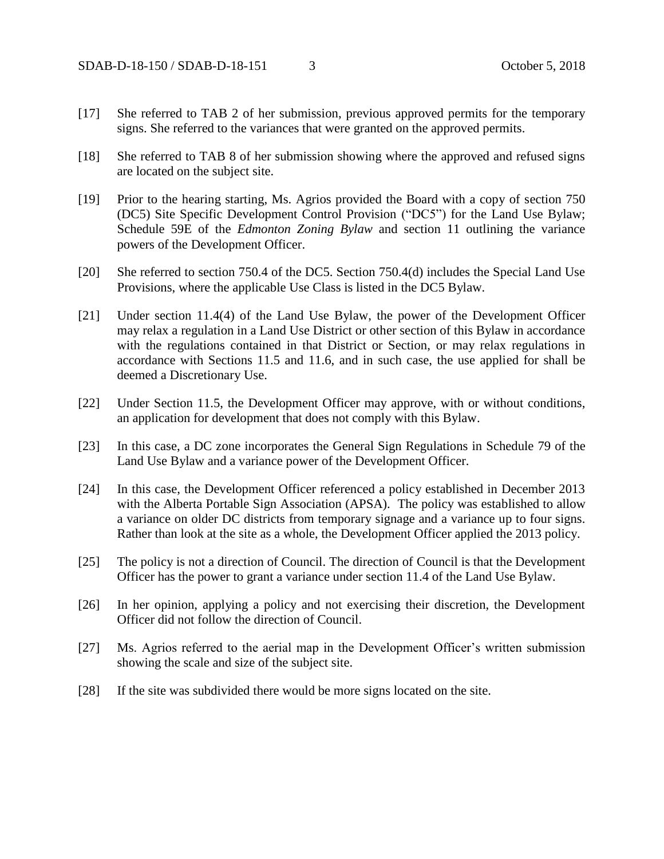- [17] She referred to TAB 2 of her submission, previous approved permits for the temporary signs. She referred to the variances that were granted on the approved permits.
- [18] She referred to TAB 8 of her submission showing where the approved and refused signs are located on the subject site.
- [19] Prior to the hearing starting, Ms. Agrios provided the Board with a copy of section 750 (DC5) Site Specific Development Control Provision ("DC5") for the Land Use Bylaw; Schedule 59E of the *Edmonton Zoning Bylaw* and section 11 outlining the variance powers of the Development Officer.
- [20] She referred to section 750.4 of the DC5. Section 750.4(d) includes the Special Land Use Provisions, where the applicable Use Class is listed in the DC5 Bylaw.
- [21] Under section 11.4(4) of the Land Use Bylaw, the power of the Development Officer may relax a regulation in a Land Use District or other section of this Bylaw in accordance with the regulations contained in that District or Section, or may relax regulations in accordance with Sections 11.5 and 11.6, and in such case, the use applied for shall be deemed a Discretionary Use.
- [22] Under Section 11.5, the Development Officer may approve, with or without conditions, an application for development that does not comply with this Bylaw.
- [23] In this case, a DC zone incorporates the General Sign Regulations in Schedule 79 of the Land Use Bylaw and a variance power of the Development Officer.
- [24] In this case, the Development Officer referenced a policy established in December 2013 with the Alberta Portable Sign Association (APSA). The policy was established to allow a variance on older DC districts from temporary signage and a variance up to four signs. Rather than look at the site as a whole, the Development Officer applied the 2013 policy.
- [25] The policy is not a direction of Council. The direction of Council is that the Development Officer has the power to grant a variance under section 11.4 of the Land Use Bylaw.
- [26] In her opinion, applying a policy and not exercising their discretion, the Development Officer did not follow the direction of Council.
- [27] Ms. Agrios referred to the aerial map in the Development Officer's written submission showing the scale and size of the subject site.
- [28] If the site was subdivided there would be more signs located on the site.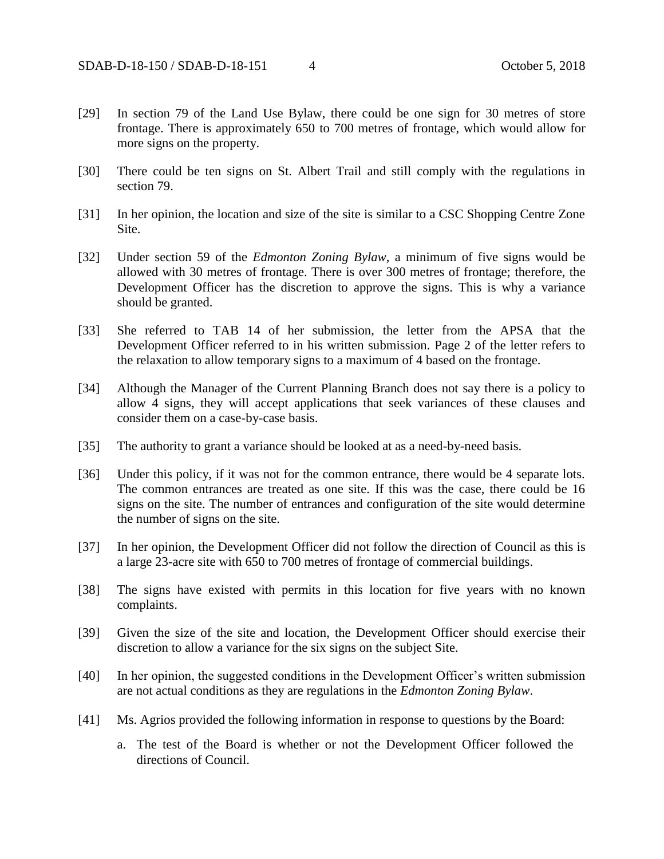- [29] In section 79 of the Land Use Bylaw, there could be one sign for 30 metres of store frontage. There is approximately 650 to 700 metres of frontage, which would allow for more signs on the property.
- [30] There could be ten signs on St. Albert Trail and still comply with the regulations in section 79.
- [31] In her opinion, the location and size of the site is similar to a CSC Shopping Centre Zone Site.
- [32] Under section 59 of the *Edmonton Zoning Bylaw*, a minimum of five signs would be allowed with 30 metres of frontage. There is over 300 metres of frontage; therefore, the Development Officer has the discretion to approve the signs. This is why a variance should be granted.
- [33] She referred to TAB 14 of her submission, the letter from the APSA that the Development Officer referred to in his written submission. Page 2 of the letter refers to the relaxation to allow temporary signs to a maximum of 4 based on the frontage.
- [34] Although the Manager of the Current Planning Branch does not say there is a policy to allow 4 signs, they will accept applications that seek variances of these clauses and consider them on a case-by-case basis.
- [35] The authority to grant a variance should be looked at as a need-by-need basis.
- [36] Under this policy, if it was not for the common entrance, there would be 4 separate lots. The common entrances are treated as one site. If this was the case, there could be 16 signs on the site. The number of entrances and configuration of the site would determine the number of signs on the site.
- [37] In her opinion, the Development Officer did not follow the direction of Council as this is a large 23-acre site with 650 to 700 metres of frontage of commercial buildings.
- [38] The signs have existed with permits in this location for five years with no known complaints.
- [39] Given the size of the site and location, the Development Officer should exercise their discretion to allow a variance for the six signs on the subject Site.
- [40] In her opinion, the suggested conditions in the Development Officer's written submission are not actual conditions as they are regulations in the *Edmonton Zoning Bylaw*.
- [41] Ms. Agrios provided the following information in response to questions by the Board:
	- a. The test of the Board is whether or not the Development Officer followed the directions of Council.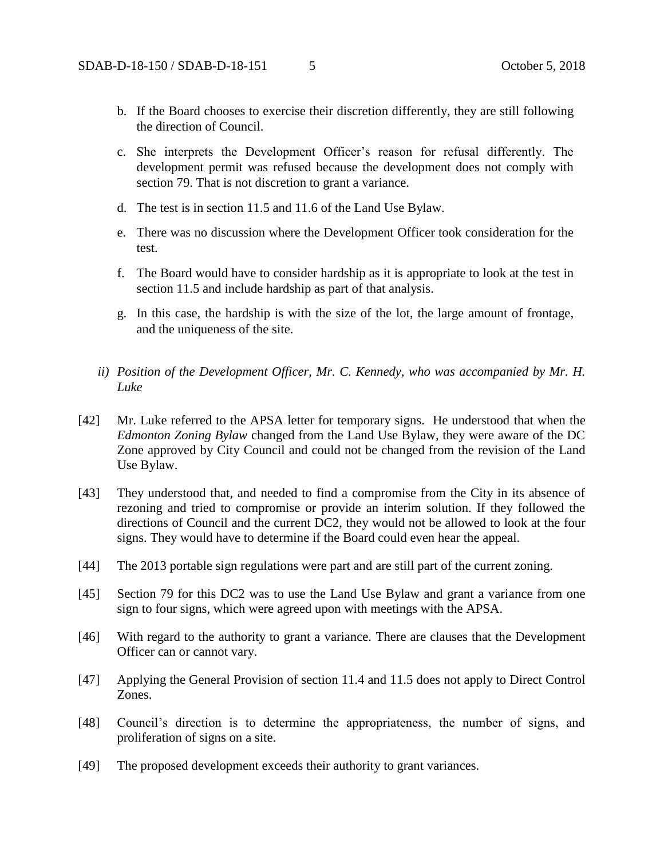- b. If the Board chooses to exercise their discretion differently, they are still following the direction of Council.
- c. She interprets the Development Officer's reason for refusal differently. The development permit was refused because the development does not comply with section 79. That is not discretion to grant a variance.
- d. The test is in section 11.5 and 11.6 of the Land Use Bylaw.
- e. There was no discussion where the Development Officer took consideration for the test.
- f. The Board would have to consider hardship as it is appropriate to look at the test in section 11.5 and include hardship as part of that analysis.
- g. In this case, the hardship is with the size of the lot, the large amount of frontage, and the uniqueness of the site.
- *ii) Position of the Development Officer, Mr. C. Kennedy, who was accompanied by Mr. H. Luke*
- [42] Mr. Luke referred to the APSA letter for temporary signs. He understood that when the *Edmonton Zoning Bylaw* changed from the Land Use Bylaw, they were aware of the DC Zone approved by City Council and could not be changed from the revision of the Land Use Bylaw.
- [43] They understood that, and needed to find a compromise from the City in its absence of rezoning and tried to compromise or provide an interim solution. If they followed the directions of Council and the current DC2, they would not be allowed to look at the four signs. They would have to determine if the Board could even hear the appeal.
- [44] The 2013 portable sign regulations were part and are still part of the current zoning.
- [45] Section 79 for this DC2 was to use the Land Use Bylaw and grant a variance from one sign to four signs, which were agreed upon with meetings with the APSA.
- [46] With regard to the authority to grant a variance. There are clauses that the Development Officer can or cannot vary.
- [47] Applying the General Provision of section 11.4 and 11.5 does not apply to Direct Control Zones.
- [48] Council's direction is to determine the appropriateness, the number of signs, and proliferation of signs on a site.
- [49] The proposed development exceeds their authority to grant variances.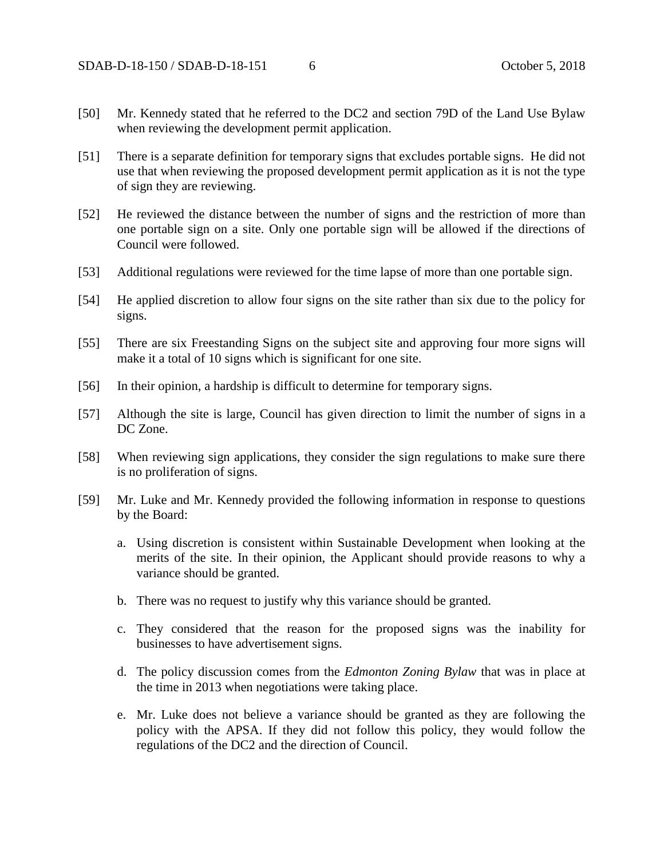- [50] Mr. Kennedy stated that he referred to the DC2 and section 79D of the Land Use Bylaw when reviewing the development permit application.
- [51] There is a separate definition for temporary signs that excludes portable signs. He did not use that when reviewing the proposed development permit application as it is not the type of sign they are reviewing.
- [52] He reviewed the distance between the number of signs and the restriction of more than one portable sign on a site. Only one portable sign will be allowed if the directions of Council were followed.
- [53] Additional regulations were reviewed for the time lapse of more than one portable sign.
- [54] He applied discretion to allow four signs on the site rather than six due to the policy for signs.
- [55] There are six Freestanding Signs on the subject site and approving four more signs will make it a total of 10 signs which is significant for one site.
- [56] In their opinion, a hardship is difficult to determine for temporary signs.
- [57] Although the site is large, Council has given direction to limit the number of signs in a DC Zone.
- [58] When reviewing sign applications, they consider the sign regulations to make sure there is no proliferation of signs.
- [59] Mr. Luke and Mr. Kennedy provided the following information in response to questions by the Board:
	- a. Using discretion is consistent within Sustainable Development when looking at the merits of the site. In their opinion, the Applicant should provide reasons to why a variance should be granted.
	- b. There was no request to justify why this variance should be granted.
	- c. They considered that the reason for the proposed signs was the inability for businesses to have advertisement signs.
	- d. The policy discussion comes from the *Edmonton Zoning Bylaw* that was in place at the time in 2013 when negotiations were taking place.
	- e. Mr. Luke does not believe a variance should be granted as they are following the policy with the APSA. If they did not follow this policy, they would follow the regulations of the DC2 and the direction of Council.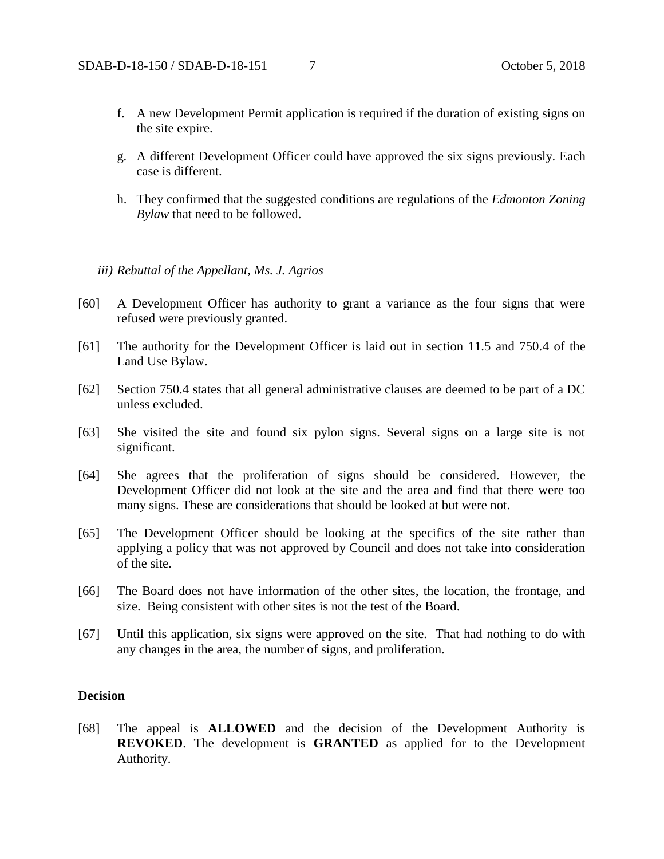- f. A new Development Permit application is required if the duration of existing signs on the site expire.
- g. A different Development Officer could have approved the six signs previously. Each case is different.
- h. They confirmed that the suggested conditions are regulations of the *Edmonton Zoning Bylaw* that need to be followed.

### *iii) Rebuttal of the Appellant, Ms. J. Agrios*

- [60] A Development Officer has authority to grant a variance as the four signs that were refused were previously granted.
- [61] The authority for the Development Officer is laid out in section 11.5 and 750.4 of the Land Use Bylaw.
- [62] Section 750.4 states that all general administrative clauses are deemed to be part of a DC unless excluded.
- [63] She visited the site and found six pylon signs. Several signs on a large site is not significant.
- [64] She agrees that the proliferation of signs should be considered. However, the Development Officer did not look at the site and the area and find that there were too many signs. These are considerations that should be looked at but were not.
- [65] The Development Officer should be looking at the specifics of the site rather than applying a policy that was not approved by Council and does not take into consideration of the site.
- [66] The Board does not have information of the other sites, the location, the frontage, and size. Being consistent with other sites is not the test of the Board.
- [67] Until this application, six signs were approved on the site. That had nothing to do with any changes in the area, the number of signs, and proliferation.

#### **Decision**

[68] The appeal is **ALLOWED** and the decision of the Development Authority is **REVOKED**. The development is **GRANTED** as applied for to the Development Authority.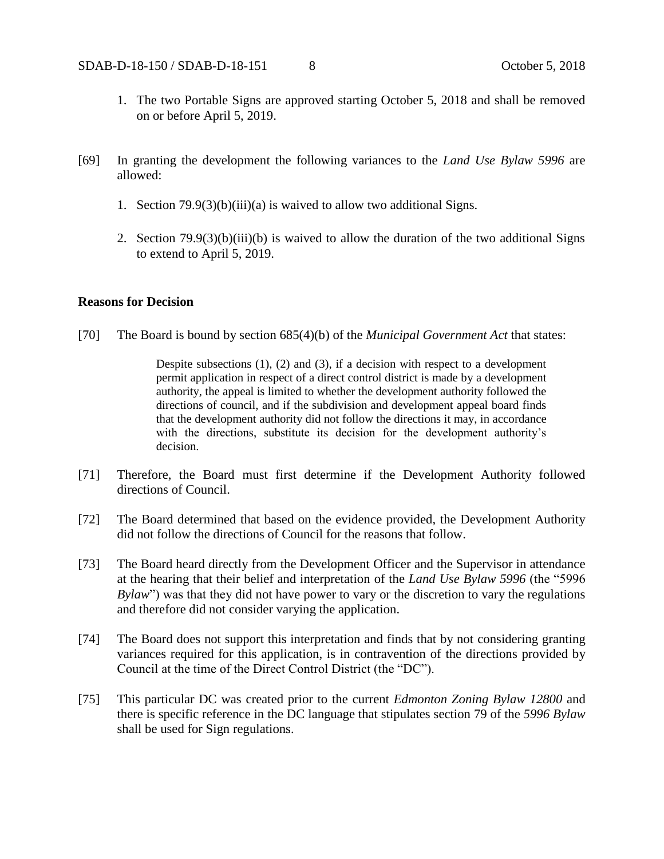- 1. The two Portable Signs are approved starting October 5, 2018 and shall be removed on or before April 5, 2019.
- [69] In granting the development the following variances to the *Land Use Bylaw 5996* are allowed:
	- 1. Section 79.9(3)(b)(iii)(a) is waived to allow two additional Signs.
	- 2. Section 79.9(3)(b)(iii)(b) is waived to allow the duration of the two additional Signs to extend to April 5, 2019.

### **Reasons for Decision**

[70] The Board is bound by section 685(4)(b) of the *Municipal Government Act* that states:

Despite subsections (1), (2) and (3), if a decision with respect to a development permit application in respect of a direct control district is made by a development authority, the appeal is limited to whether the development authority followed the directions of council, and if the subdivision and development appeal board finds that the development authority did not follow the directions it may, in accordance with the directions, substitute its decision for the development authority's decision.

- [71] Therefore, the Board must first determine if the Development Authority followed directions of Council.
- [72] The Board determined that based on the evidence provided, the Development Authority did not follow the directions of Council for the reasons that follow.
- [73] The Board heard directly from the Development Officer and the Supervisor in attendance at the hearing that their belief and interpretation of the *Land Use Bylaw 5996* (the "5996 *Bylaw*") was that they did not have power to vary or the discretion to vary the regulations and therefore did not consider varying the application.
- [74] The Board does not support this interpretation and finds that by not considering granting variances required for this application, is in contravention of the directions provided by Council at the time of the Direct Control District (the "DC").
- [75] This particular DC was created prior to the current *Edmonton Zoning Bylaw 12800* and there is specific reference in the DC language that stipulates section 79 of the *5996 Bylaw* shall be used for Sign regulations.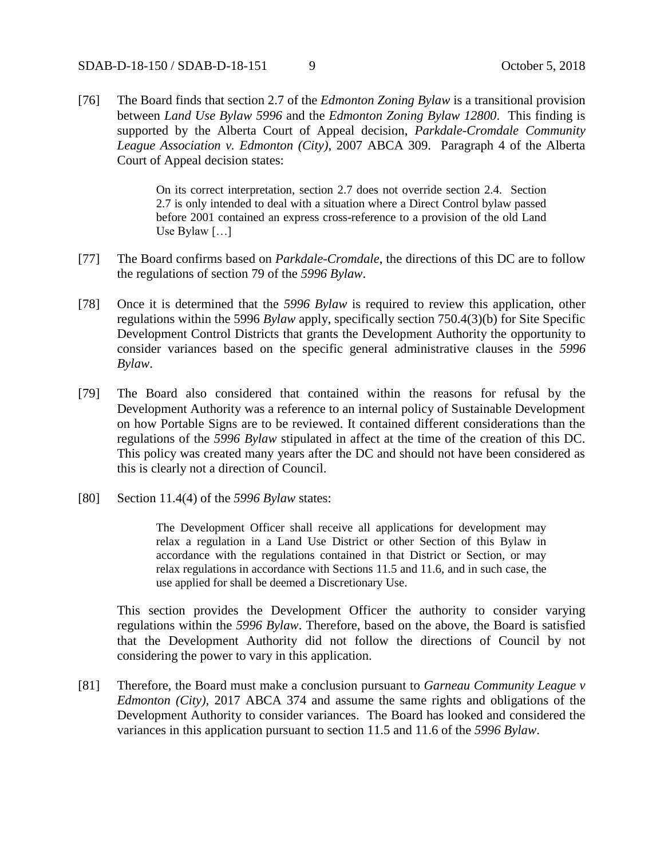### SDAB-D-18-150 / SDAB-D-18-151 9 October 5, 2018

[76] The Board finds that section 2.7 of the *Edmonton Zoning Bylaw* is a transitional provision between *Land Use Bylaw 5996* and the *Edmonton Zoning Bylaw 12800*. This finding is supported by the Alberta Court of Appeal decision, *Parkdale-Cromdale Community League Association v. Edmonton (City)*, 2007 ABCA 309. Paragraph 4 of the Alberta Court of Appeal decision states:

> On its correct interpretation, section 2.7 does not override section 2.4. Section 2.7 is only intended to deal with a situation where a Direct Control bylaw passed before 2001 contained an express cross-reference to a provision of the old Land Use Bylaw […]

- [77] The Board confirms based on *Parkdale-Cromdale*, the directions of this DC are to follow the regulations of section 79 of the *5996 Bylaw*.
- [78] Once it is determined that the *5996 Bylaw* is required to review this application, other regulations within the 5996 *Bylaw* apply, specifically section 750.4(3)(b) for Site Specific Development Control Districts that grants the Development Authority the opportunity to consider variances based on the specific general administrative clauses in the *5996 Bylaw*.
- [79] The Board also considered that contained within the reasons for refusal by the Development Authority was a reference to an internal policy of Sustainable Development on how Portable Signs are to be reviewed. It contained different considerations than the regulations of the *5996 Bylaw* stipulated in affect at the time of the creation of this DC. This policy was created many years after the DC and should not have been considered as this is clearly not a direction of Council.
- [80] Section 11.4(4) of the *5996 Bylaw* states:

The Development Officer shall receive all applications for development may relax a regulation in a Land Use District or other Section of this Bylaw in accordance with the regulations contained in that District or Section, or may relax regulations in accordance with Sections 11.5 and 11.6, and in such case, the use applied for shall be deemed a Discretionary Use.

This section provides the Development Officer the authority to consider varying regulations within the *5996 Bylaw*. Therefore, based on the above, the Board is satisfied that the Development Authority did not follow the directions of Council by not considering the power to vary in this application.

[81] Therefore, the Board must make a conclusion pursuant to *Garneau Community League v Edmonton (City),* 2017 ABCA 374 and assume the same rights and obligations of the Development Authority to consider variances. The Board has looked and considered the variances in this application pursuant to section 11.5 and 11.6 of the *5996 Bylaw*.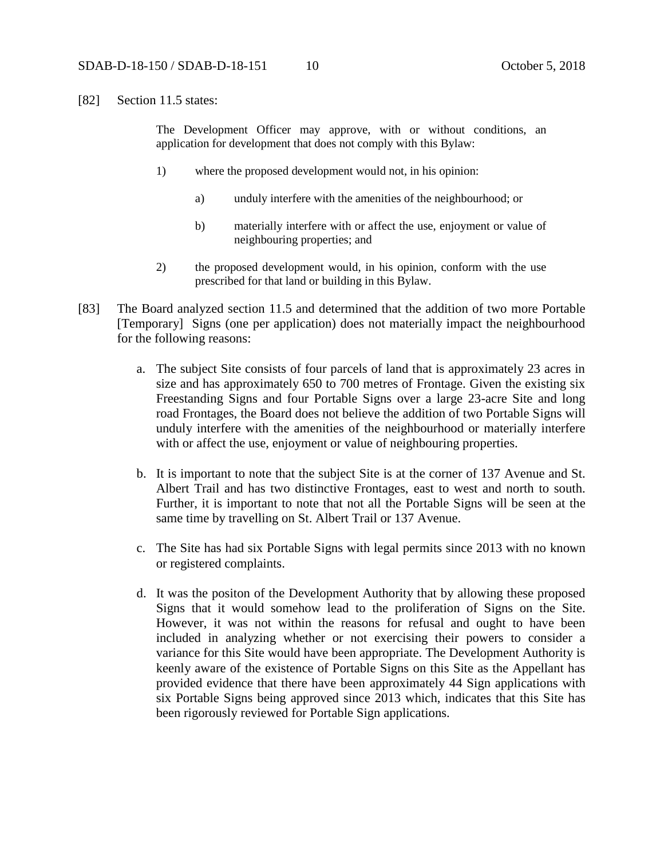[82] Section 11.5 states:

The Development Officer may approve, with or without conditions, an application for development that does not comply with this Bylaw:

- 1) where the proposed development would not, in his opinion:
	- a) unduly interfere with the amenities of the neighbourhood; or
	- b) materially interfere with or affect the use, enjoyment or value of neighbouring properties; and
- 2) the proposed development would, in his opinion, conform with the use prescribed for that land or building in this Bylaw.
- [83] The Board analyzed section 11.5 and determined that the addition of two more Portable [Temporary] Signs (one per application) does not materially impact the neighbourhood for the following reasons:
	- a. The subject Site consists of four parcels of land that is approximately 23 acres in size and has approximately 650 to 700 metres of Frontage. Given the existing six Freestanding Signs and four Portable Signs over a large 23-acre Site and long road Frontages, the Board does not believe the addition of two Portable Signs will unduly interfere with the amenities of the neighbourhood or materially interfere with or affect the use, enjoyment or value of neighbouring properties.
	- b. It is important to note that the subject Site is at the corner of 137 Avenue and St. Albert Trail and has two distinctive Frontages, east to west and north to south. Further, it is important to note that not all the Portable Signs will be seen at the same time by travelling on St. Albert Trail or 137 Avenue.
	- c. The Site has had six Portable Signs with legal permits since 2013 with no known or registered complaints.
	- d. It was the positon of the Development Authority that by allowing these proposed Signs that it would somehow lead to the proliferation of Signs on the Site. However, it was not within the reasons for refusal and ought to have been included in analyzing whether or not exercising their powers to consider a variance for this Site would have been appropriate. The Development Authority is keenly aware of the existence of Portable Signs on this Site as the Appellant has provided evidence that there have been approximately 44 Sign applications with six Portable Signs being approved since 2013 which, indicates that this Site has been rigorously reviewed for Portable Sign applications.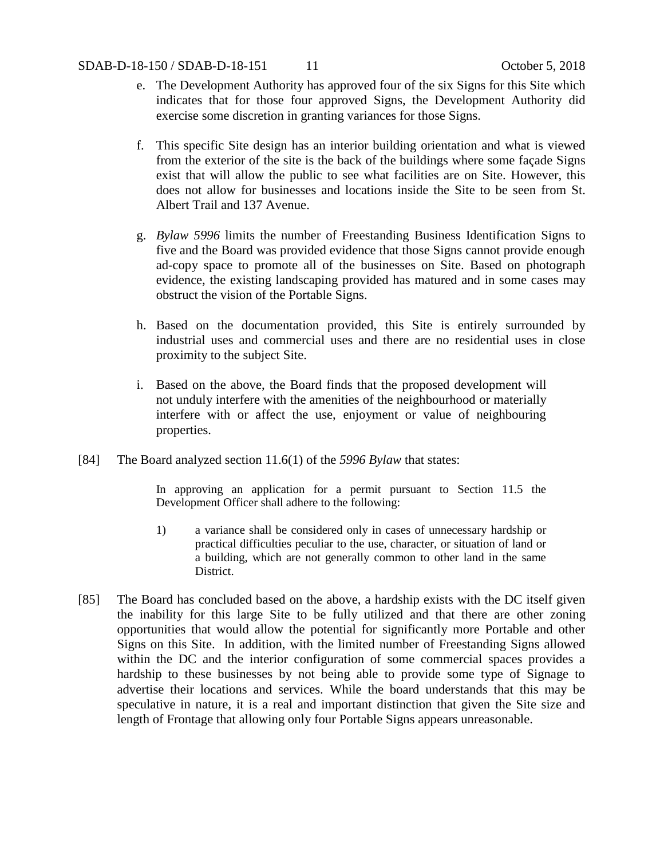- e. The Development Authority has approved four of the six Signs for this Site which indicates that for those four approved Signs, the Development Authority did exercise some discretion in granting variances for those Signs.
- f. This specific Site design has an interior building orientation and what is viewed from the exterior of the site is the back of the buildings where some façade Signs exist that will allow the public to see what facilities are on Site. However, this does not allow for businesses and locations inside the Site to be seen from St. Albert Trail and 137 Avenue.
- g. *Bylaw 5996* limits the number of Freestanding Business Identification Signs to five and the Board was provided evidence that those Signs cannot provide enough ad-copy space to promote all of the businesses on Site. Based on photograph evidence, the existing landscaping provided has matured and in some cases may obstruct the vision of the Portable Signs.
- h. Based on the documentation provided, this Site is entirely surrounded by industrial uses and commercial uses and there are no residential uses in close proximity to the subject Site.
- i. Based on the above, the Board finds that the proposed development will not unduly interfere with the amenities of the neighbourhood or materially interfere with or affect the use, enjoyment or value of neighbouring properties.
- [84] The Board analyzed section 11.6(1) of the *5996 Bylaw* that states:

In approving an application for a permit pursuant to Section 11.5 the Development Officer shall adhere to the following:

- 1) a variance shall be considered only in cases of unnecessary hardship or practical difficulties peculiar to the use, character, or situation of land or a building, which are not generally common to other land in the same District.
- [85] The Board has concluded based on the above, a hardship exists with the DC itself given the inability for this large Site to be fully utilized and that there are other zoning opportunities that would allow the potential for significantly more Portable and other Signs on this Site. In addition, with the limited number of Freestanding Signs allowed within the DC and the interior configuration of some commercial spaces provides a hardship to these businesses by not being able to provide some type of Signage to advertise their locations and services. While the board understands that this may be speculative in nature, it is a real and important distinction that given the Site size and length of Frontage that allowing only four Portable Signs appears unreasonable.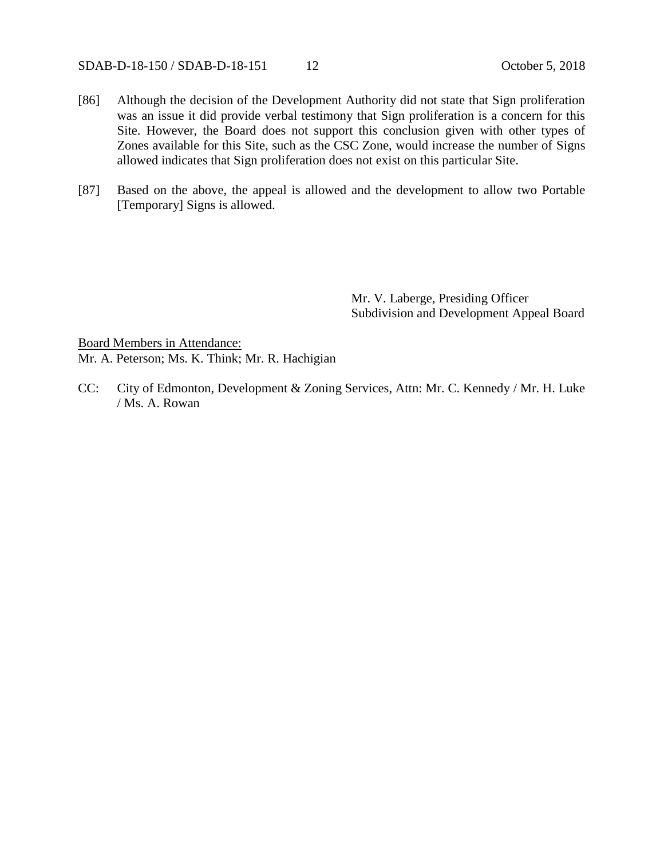SDAB-D-18-150 / SDAB-D-18-151 12 October 5, 2018

- [86] Although the decision of the Development Authority did not state that Sign proliferation was an issue it did provide verbal testimony that Sign proliferation is a concern for this Site. However, the Board does not support this conclusion given with other types of Zones available for this Site, such as the CSC Zone, would increase the number of Signs allowed indicates that Sign proliferation does not exist on this particular Site.
- [87] Based on the above, the appeal is allowed and the development to allow two Portable [Temporary] Signs is allowed.

Mr. V. Laberge, Presiding Officer Subdivision and Development Appeal Board

Board Members in Attendance: Mr. A. Peterson; Ms. K. Think; Mr. R. Hachigian

CC: City of Edmonton, Development & Zoning Services, Attn: Mr. C. Kennedy / Mr. H. Luke / Ms. A. Rowan